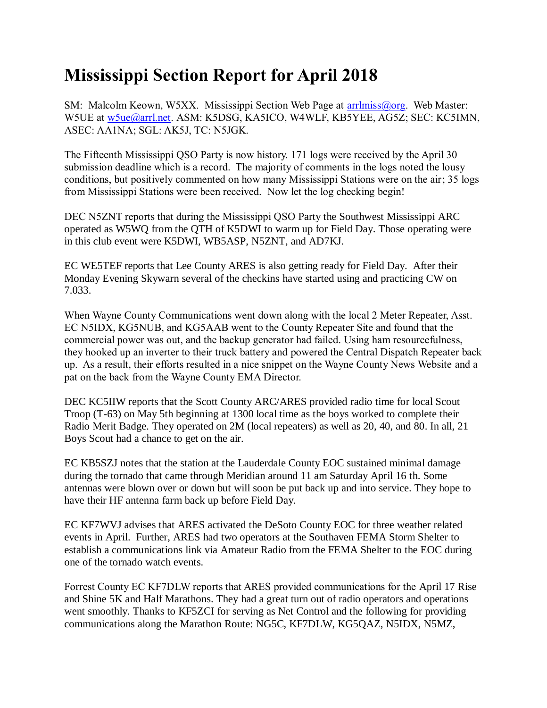## **Mississippi Section Report for April 2018**

SM: Malcolm Keown, W5XX. Mississippi Section Web Page at [arrlmiss@org.](mailto:arrlmiss@org) Web Master: W5UE at [w5ue@arrl.net.](mailto:w5ue@arrl.net) ASM: K5DSG, KA5ICO, W4WLF, KB5YEE, AG5Z; SEC: KC5IMN, ASEC: AA1NA; SGL: AK5J, TC: N5JGK.

The Fifteenth Mississippi QSO Party is now history. 171 logs were received by the April 30 submission deadline which is a record. The majority of comments in the logs noted the lousy conditions, but positively commented on how many Mississippi Stations were on the air; 35 logs from Mississippi Stations were been received. Now let the log checking begin!

DEC N5ZNT reports that during the Mississippi QSO Party the Southwest Mississippi ARC operated as W5WQ from the QTH of K5DWI to warm up for Field Day. Those operating were in this club event were K5DWI, WB5ASP, N5ZNT, and AD7KJ.

EC WE5TEF reports that Lee County ARES is also getting ready for Field Day. After their Monday Evening Skywarn several of the checkins have started using and practicing CW on 7.033.

When Wayne County Communications went down along with the local 2 Meter Repeater, Asst. EC N5IDX, KG5NUB, and KG5AAB went to the County Repeater Site and found that the commercial power was out, and the backup generator had failed. Using ham resourcefulness, they hooked up an inverter to their truck battery and powered the Central Dispatch Repeater back up. As a result, their efforts resulted in a nice snippet on the Wayne County News Website and a pat on the back from the Wayne County EMA Director.

DEC KC5IIW reports that the Scott County ARC/ARES provided radio time for local Scout Troop (T-63) on May 5th beginning at 1300 local time as the boys worked to complete their Radio Merit Badge. They operated on 2M (local repeaters) as well as 20, 40, and 80. In all, 21 Boys Scout had a chance to get on the air.

EC KB5SZJ notes that the station at the Lauderdale County EOC sustained minimal damage during the tornado that came through Meridian around 11 am Saturday April 16 th. Some antennas were blown over or down but will soon be put back up and into service. They hope to have their HF antenna farm back up before Field Day.

EC KF7WVJ advises that ARES activated the DeSoto County EOC for three weather related events in April. Further, ARES had two operators at the Southaven FEMA Storm Shelter to establish a communications link via Amateur Radio from the FEMA Shelter to the EOC during one of the tornado watch events.

Forrest County EC KF7DLW reports that ARES provided communications for the April 17 Rise and Shine 5K and Half Marathons. They had a great turn out of radio operators and operations went smoothly. Thanks to KF5ZCI for serving as Net Control and the following for providing communications along the Marathon Route: NG5C, KF7DLW, KG5QAZ, N5IDX, N5MZ,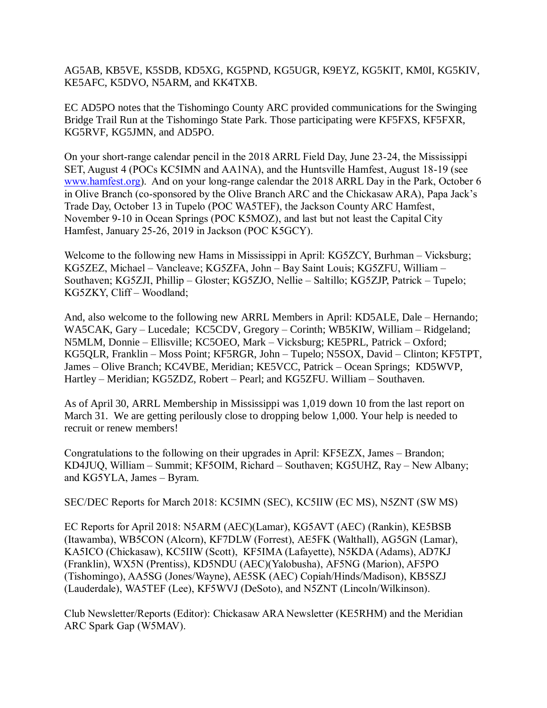AG5AB, KB5VE, K5SDB, KD5XG, KG5PND, KG5UGR, K9EYZ, KG5KIT, KM0I, KG5KIV, KE5AFC, K5DVO, N5ARM, and KK4TXB.

EC AD5PO notes that the Tishomingo County ARC provided communications for the Swinging Bridge Trail Run at the Tishomingo State Park. Those participating were KF5FXS, KF5FXR, KG5RVF, KG5JMN, and AD5PO.

On your short-range calendar pencil in the 2018 ARRL Field Day, June 23-24, the Mississippi SET, August 4 (POCs KC5IMN and AA1NA), and the Huntsville Hamfest, August 18-19 (see [www.hamfest.org\)](http://www.hamfest.org/). And on your long-range calendar the 2018 ARRL Day in the Park, October 6 in Olive Branch (co-sponsored by the Olive Branch ARC and the Chickasaw ARA), Papa Jack's Trade Day, October 13 in Tupelo (POC WA5TEF), the Jackson County ARC Hamfest, November 9-10 in Ocean Springs (POC K5MOZ), and last but not least the Capital City Hamfest, January 25-26, 2019 in Jackson (POC K5GCY).

Welcome to the following new Hams in Mississippi in April: KG5ZCY, Burhman – Vicksburg; KG5ZEZ, Michael – Vancleave; KG5ZFA, John – Bay Saint Louis; KG5ZFU, William – Southaven; KG5ZJI, Phillip – Gloster; KG5ZJO, Nellie – Saltillo; KG5ZJP, Patrick – Tupelo; KG5ZKY, Cliff – Woodland;

And, also welcome to the following new ARRL Members in April: KD5ALE, Dale – Hernando; WA5CAK, Gary – Lucedale; KC5CDV, Gregory – Corinth; WB5KIW, William – Ridgeland; N5MLM, Donnie – Ellisville; KC5OEO, Mark – Vicksburg; KE5PRL, Patrick – Oxford; KG5QLR, Franklin – Moss Point; KF5RGR, John – Tupelo; N5SOX, David – Clinton; KF5TPT, James – Olive Branch; KC4VBE, Meridian; KE5VCC, Patrick – Ocean Springs; KD5WVP, Hartley – Meridian; KG5ZDZ, Robert – Pearl; and KG5ZFU. William – Southaven.

As of April 30, ARRL Membership in Mississippi was 1,019 down 10 from the last report on March 31. We are getting perilously close to dropping below 1,000. Your help is needed to recruit or renew members!

Congratulations to the following on their upgrades in April: KF5EZX, James – Brandon; KD4JUQ, William – Summit; KF5OIM, Richard – Southaven; KG5UHZ, Ray – New Albany; and KG5YLA, James – Byram.

SEC/DEC Reports for March 2018: KC5IMN (SEC), KC5IIW (EC MS), N5ZNT (SW MS)

EC Reports for April 2018: N5ARM (AEC)(Lamar), KG5AVT (AEC) (Rankin), KE5BSB (Itawamba), WB5CON (Alcorn), KF7DLW (Forrest), AE5FK (Walthall), AG5GN (Lamar), KA5ICO (Chickasaw), KC5IIW (Scott), KF5IMA (Lafayette), N5KDA (Adams), AD7KJ (Franklin), WX5N (Prentiss), KD5NDU (AEC)(Yalobusha), AF5NG (Marion), AF5PO (Tishomingo), AA5SG (Jones/Wayne), AE5SK (AEC) Copiah/Hinds/Madison), KB5SZJ (Lauderdale), WA5TEF (Lee), KF5WVJ (DeSoto), and N5ZNT (Lincoln/Wilkinson).

Club Newsletter/Reports (Editor): Chickasaw ARA Newsletter (KE5RHM) and the Meridian ARC Spark Gap (W5MAV).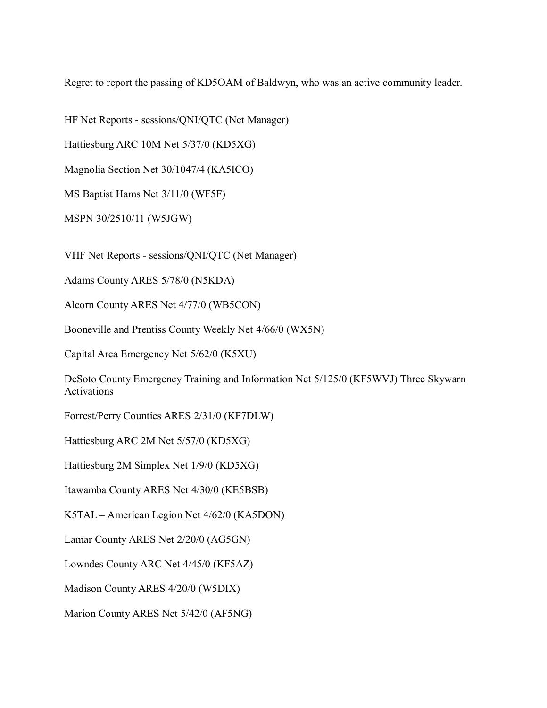Regret to report the passing of KD5OAM of Baldwyn, who was an active community leader.

HF Net Reports - sessions/QNI/QTC (Net Manager)

Hattiesburg ARC 10M Net 5/37/0 (KD5XG)

Magnolia Section Net 30/1047/4 (KA5ICO)

MS Baptist Hams Net 3/11/0 (WF5F)

MSPN 30/2510/11 (W5JGW)

VHF Net Reports - sessions/QNI/QTC (Net Manager)

Adams County ARES 5/78/0 (N5KDA)

Alcorn County ARES Net 4/77/0 (WB5CON)

Booneville and Prentiss County Weekly Net 4/66/0 (WX5N)

Capital Area Emergency Net 5/62/0 (K5XU)

DeSoto County Emergency Training and Information Net 5/125/0 (KF5WVJ) Three Skywarn Activations

Forrest/Perry Counties ARES 2/31/0 (KF7DLW)

Hattiesburg ARC 2M Net 5/57/0 (KD5XG)

Hattiesburg 2M Simplex Net 1/9/0 (KD5XG)

Itawamba County ARES Net 4/30/0 (KE5BSB)

K5TAL – American Legion Net 4/62/0 (KA5DON)

Lamar County ARES Net 2/20/0 (AG5GN)

Lowndes County ARC Net 4/45/0 (KF5AZ)

Madison County ARES 4/20/0 (W5DIX)

Marion County ARES Net 5/42/0 (AF5NG)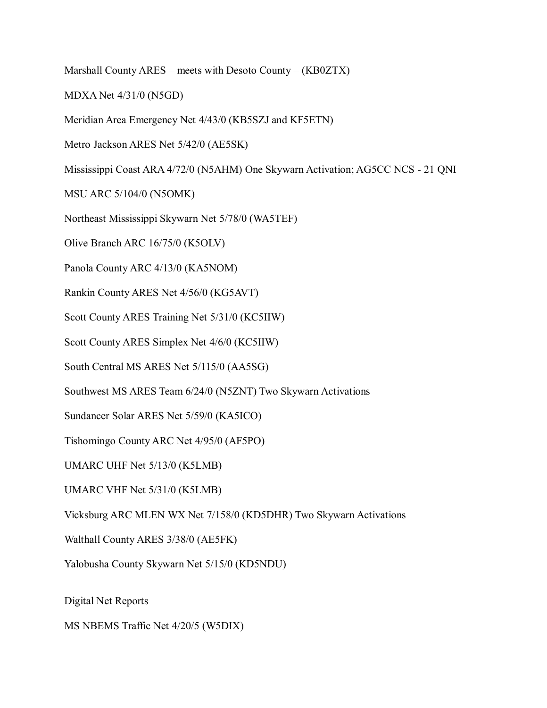Marshall County ARES – meets with Desoto County – (KB0ZTX)

MDXA Net 4/31/0 (N5GD)

Meridian Area Emergency Net 4/43/0 (KB5SZJ and KF5ETN)

Metro Jackson ARES Net 5/42/0 (AE5SK)

Mississippi Coast ARA 4/72/0 (N5AHM) One Skywarn Activation; AG5CC NCS - 21 QNI

MSU ARC 5/104/0 (N5OMK)

Northeast Mississippi Skywarn Net 5/78/0 (WA5TEF)

Olive Branch ARC 16/75/0 (K5OLV)

Panola County ARC 4/13/0 (KA5NOM)

Rankin County ARES Net 4/56/0 (KG5AVT)

Scott County ARES Training Net 5/31/0 (KC5IIW)

Scott County ARES Simplex Net 4/6/0 (KC5IIW)

South Central MS ARES Net 5/115/0 (AA5SG)

Southwest MS ARES Team 6/24/0 (N5ZNT) Two Skywarn Activations

Sundancer Solar ARES Net 5/59/0 (KA5ICO)

Tishomingo County ARC Net 4/95/0 (AF5PO)

UMARC UHF Net 5/13/0 (K5LMB)

UMARC VHF Net 5/31/0 (K5LMB)

Vicksburg ARC MLEN WX Net 7/158/0 (KD5DHR) Two Skywarn Activations

Walthall County ARES 3/38/0 (AE5FK)

Yalobusha County Skywarn Net 5/15/0 (KD5NDU)

Digital Net Reports

MS NBEMS Traffic Net 4/20/5 (W5DIX)